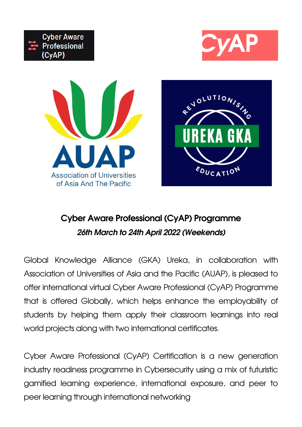**Cyber Aware Professional (CyAP) Programme**

#### **26th March to 24th April 2022 (Weekends)**

Global Knowledge Alliance (GKA) Ureka, in collaboration with Association of Universities of Asia and the Pacific (AUAP), is pleased to offer international virtual Cyber Aware Professional (CyAP) Programme that is offered Globally, which helps enhance the employability of students by helping them apply their classroom learnings into real world projects along with two international certificates.

Cyber Aware Professional (CyAP) Certification is a new generation industry readiness programme in Cybersecurity using a mix of futuristic gamified learning experience, international exposure, and peer to peer learning through international networking







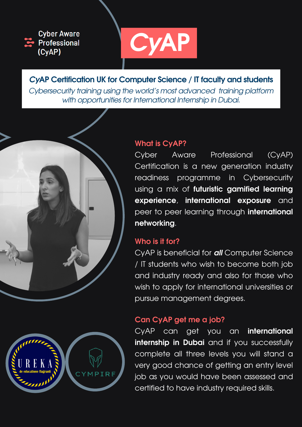

Cyber Aware Professional (CyAP) Certification is a new generation industry readiness programme in Cybersecurity using a mix of **futuristic gamified learning experience**, **international exposure** and peer to peer learning through **international networking**.



## **Who is it for?**

CyAP is beneficial for **all** Computer Science / IT students who wish to become both job and industry ready and also for those who wish to apply for international universities or pursue management degrees.

Cybersecurity training using the world's most advanced training platform with opportunities for International Internship in Dubai.

## **Can CyAP get me a job?**





# **CyAP Certification UK for Computer Science / IT faculty and students**

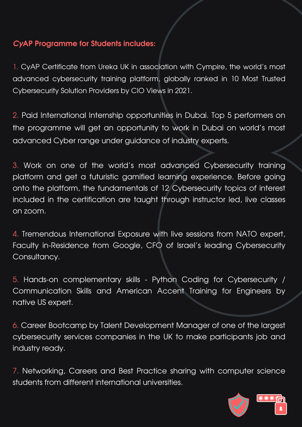### **CyAP Programme for Students includes:**

1. CyAP Certificate from Ureka UK in association with Cympire, the world's most advanced cybersecurity training platform, globally ranked in 10 Most Trusted Cybersecurity Solution Providers by CIO Views in 2021.

2. Paid International Internship opportunities in Dubai. Top 5 performers on the programme will get an opportunity to work in Dubai on world's most advanced Cyber range under guidance of industry experts.

3. Work on one of the world's most advanced Cybersecurity training platform and get a futuristic gamified learning experience. Before going onto the platform, the fundamentals of 12 Cybersecurity topics of interest included in the certification are taught through instructor led, live classes on zoom.

4. Tremendous International Exposure with live sessions from NATO expert, Faculty in-Residence from Google, CFO of Israel's leading Cybersecurity Consultancy.

5. Hands-on complementary skills - Python Coding for Cybersecurity / Communication Skills and American Accent Training for Engineers by native US expert.

6. Career Bootcamp by Talent Development Manager of one of the largest cybersecurity services companies in the UK to make participants job and industry ready.

7. Networking, Careers and Best Practice sharing with computer science students from different international universities.